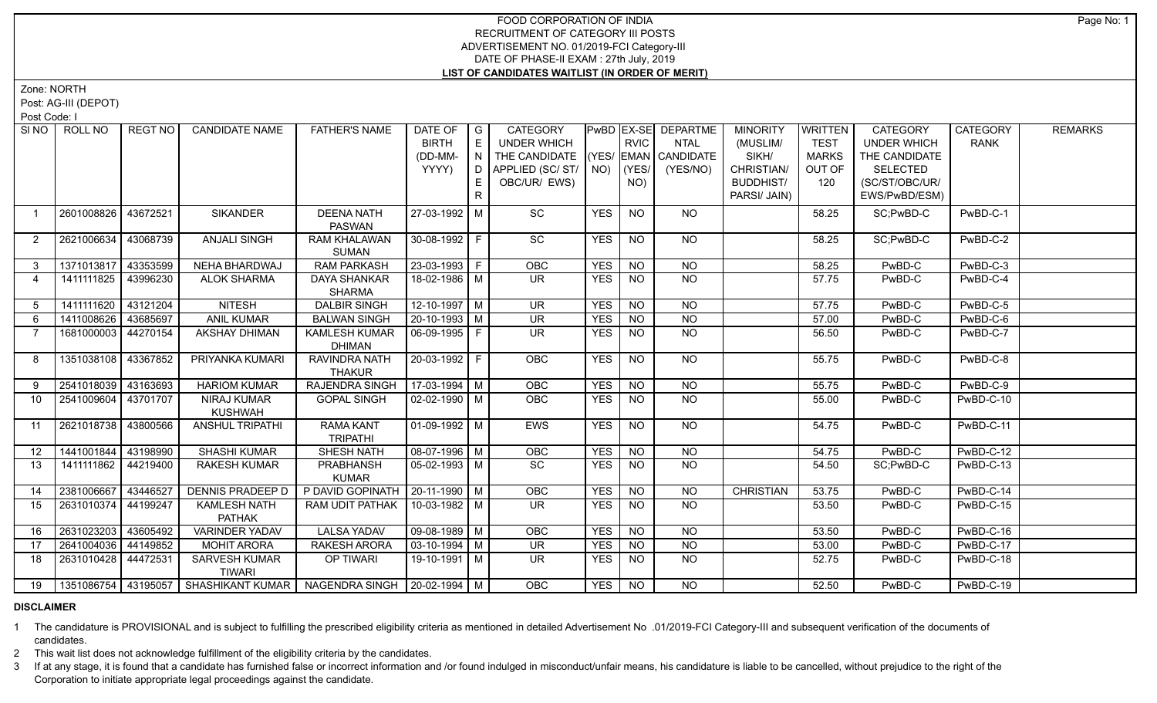## FOOD CORPORATION OF INDIA RECRUITMENT OF CATEGORY III POSTS ADVERTISEMENT NO. 01/2019-FCI Category-III DATE OF PHASE-II EXAM : 27th July, 2019 **LIST OF CANDIDATES WAITLIST (IN ORDER OF MERIT)**

Zone: NORTH

Post: AG-III (DEPOT)

Post Code: I

|                | SINO   ROLL NO      | REGT NO  | <b>CANDIDATE NAME</b>                | <b>FATHER'S NAME</b>                  | DATE OF<br><b>BIRTH</b> | $\overline{G}$<br>$\mathsf{E}% _{\mathsf{H}}$ | <b>CATEGORY</b><br><b>UNDER WHICH</b> |            | <b>RVIC</b>    | <b>PwBD EX-SE DEPARTME</b><br><b>NTAL</b> | <b>MINORITY</b><br>(MUSLIM/ | <b>WRITTEN</b><br><b>TEST</b> | <b>CATEGORY</b><br><b>UNDER WHICH</b> | <b>CATEGORY</b><br><b>RANK</b> | <b>REMARKS</b> |
|----------------|---------------------|----------|--------------------------------------|---------------------------------------|-------------------------|-----------------------------------------------|---------------------------------------|------------|----------------|-------------------------------------------|-----------------------------|-------------------------------|---------------------------------------|--------------------------------|----------------|
|                |                     |          |                                      |                                       | (DD-MM-                 | $\overline{N}$                                | THE CANDIDATE                         |            |                | (YES/ EMAN CANDIDATE                      | SIKH/                       | <b>MARKS</b>                  | THE CANDIDATE                         |                                |                |
|                |                     |          |                                      |                                       | YYYY)                   | D                                             | APPLIED (SC/ST/                       |            | $NO)$ $ (YES/$ | (YES/NO)                                  | CHRISTIAN/                  | OUT OF                        | <b>SELECTED</b>                       |                                |                |
|                |                     |          |                                      |                                       |                         | E.                                            | OBC/UR/ EWS)                          |            | NO)            |                                           | <b>BUDDHIST/</b>            | 120                           | (SC/ST/OBC/UR/                        |                                |                |
|                |                     |          |                                      |                                       |                         | $\mathsf{R}$                                  |                                       |            |                |                                           | PARSI/ JAIN)                |                               | EWS/PwBD/ESM)                         |                                |                |
| $\overline{1}$ | 2601008826          | 43672521 | <b>SIKANDER</b>                      | <b>DEENA NATH</b><br><b>PASWAN</b>    | 27-03-1992 M            |                                               | SC                                    | <b>YES</b> | <b>NO</b>      | <b>NO</b>                                 |                             | 58.25                         | SC;PwBD-C                             | PwBD-C-1                       |                |
| $\mathbf{2}$   | 2621006634          | 43068739 | <b>ANJALI SINGH</b>                  | <b>RAM KHALAWAN</b>                   | 30-08-1992   F          |                                               | SC                                    | <b>YES</b> | <b>NO</b>      | <b>NO</b>                                 |                             | 58.25                         | SC;PwBD-C                             | PwBD-C-2                       |                |
|                |                     |          |                                      | <b>SUMAN</b>                          |                         |                                               |                                       |            |                |                                           |                             |                               |                                       |                                |                |
| 3              | 1371013817          | 43353599 | <b>NEHA BHARDWAJ</b>                 | <b>RAM PARKASH</b>                    | $23 - 03 - 1993$ F      |                                               | OBC                                   | <b>YES</b> | <b>NO</b>      | <b>NO</b>                                 |                             | 58.25                         | PwBD-C                                | PwBD-C-3                       |                |
| 4              | 1411111825          | 43996230 | <b>ALOK SHARMA</b>                   | <b>DAYA SHANKAR</b>                   | 18-02-1986 M            |                                               | $\overline{\mathsf{UR}}$              | <b>YES</b> | <b>NO</b>      | $\overline{NQ}$                           |                             | 57.75                         | PwBD-C                                | PwBD-C-4                       |                |
|                |                     |          |                                      | <b>SHARMA</b>                         |                         |                                               |                                       |            |                |                                           |                             |                               |                                       |                                |                |
| 5              | 1411111620          | 43121204 | <b>NITESH</b>                        | <b>DALBIR SINGH</b>                   | $12 - 10 - 1997$ M      |                                               | <b>UR</b>                             | <b>YES</b> | <b>NO</b>      | <b>NO</b>                                 |                             | 57.75                         | PwBD-C                                | PwBD-C-5                       |                |
| 6              | 1411008626          | 43685697 | <b>ANIL KUMAR</b>                    | <b>BALWAN SINGH</b>                   | $20-10-1993$ M          |                                               | $\overline{\mathsf{UR}}$              | <b>YES</b> | N <sub>O</sub> | N <sub>O</sub>                            |                             | 57.00                         | PwBD-C                                | PwBD-C-6                       |                |
|                | 1681000003          | 44270154 | <b>AKSHAY DHIMAN</b>                 | <b>KAMLESH KUMAR</b><br><b>DHIMAN</b> | 06-09-1995 F            |                                               | UR.                                   | <b>YES</b> | <b>NO</b>      | <b>NO</b>                                 |                             | 56.50                         | PwBD-C                                | PwBD-C-7                       |                |
| 8              | 1351038108 43367852 |          | PRIYANKA KUMARI                      | RAVINDRA NATH<br><b>THAKUR</b>        | $20-03-1992$ F          |                                               | <b>OBC</b>                            | <b>YES</b> | N <sub>O</sub> | $N$ O                                     |                             | 55.75                         | PwBD-C                                | PwBD-C-8                       |                |
| 9              | 2541018039          | 43163693 | <b>HARIOM KUMAR</b>                  | <b>RAJENDRA SINGH</b>                 | $17-03-1994$ M          |                                               | <b>OBC</b>                            | <b>YES</b> | <b>NO</b>      | <b>NO</b>                                 |                             | 55.75                         | PwBD-C                                | PwBD-C-9                       |                |
| 10             | 2541009604          | 43701707 | <b>NIRAJ KUMAR</b><br>KUSHWAH        | <b>GOPAL SINGH</b>                    | $02 - 02 - 1990$ M      |                                               | <b>OBC</b>                            | <b>YES</b> | <b>NO</b>      | <b>NO</b>                                 |                             | 55.00                         | PwBD-C                                | PwBD-C-10                      |                |
| 11             | 2621018738          | 43800566 | <b>ANSHUL TRIPATHI</b>               | <b>RAMA KANT</b><br><b>TRIPATHI</b>   | $01-09-1992$ M          |                                               | <b>EWS</b>                            | <b>YES</b> | <b>NO</b>      | <b>NO</b>                                 |                             | 54.75                         | PwBD-C                                | PwBD-C-11                      |                |
| 12             | 1441001844          | 43198990 | <b>SHASHI KUMAR</b>                  | <b>SHESH NATH</b>                     | $08-07-1996$ M          |                                               | OBC                                   | <b>YES</b> | <b>NO</b>      | $\overline{NQ}$                           |                             | 54.75                         | PwBD-C                                | PwBD-C-12                      |                |
| 13             | 1411111862          | 44219400 | RAKESH KUMAR                         | <b>PRABHANSH</b><br><b>KUMAR</b>      | $05-02-1993$ M          |                                               | SC                                    | <b>YES</b> | <b>NO</b>      | NO.                                       |                             | 54.50                         | SC;PwBD-C                             | PwBD-C-13                      |                |
| 14             | 2381006667          | 43446527 | <b>DENNIS PRADEEP D</b>              | P DAVID GOPINATH   20-11-1990   M     |                         |                                               | OBC                                   | <b>YES</b> | N <sub>O</sub> | N <sub>O</sub>                            | <b>CHRISTIAN</b>            | 53.75                         | PwBD-C                                | PwBD-C-14                      |                |
| 15             | 2631010374          | 44199247 | <b>KAMLESH NATH</b><br><b>PATHAK</b> | RAM UDIT PATHAK                       | 10-03-1982 M            |                                               | <b>UR</b>                             | <b>YES</b> | <b>NO</b>      | <b>NO</b>                                 |                             | 53.50                         | PwBD-C                                | PwBD-C-15                      |                |
| 16             | 2631023203          | 43605492 | VARINDER YADAV                       | <b>LALSA YADAV</b>                    | $09-08-1989$ M          |                                               | <b>OBC</b>                            | <b>YES</b> | <b>NO</b>      | <b>NO</b>                                 |                             | 53.50                         | PwBD-C                                | PwBD-C-16                      |                |
| 17             | 2641004036          | 44149852 | <b>MOHIT ARORA</b>                   | <b>RAKESH ARORA</b>                   | $03-10-1994$ M          |                                               | $\overline{\mathsf{UR}}$              | <b>YES</b> | NO             | $N$ O                                     |                             | 53.00                         | PwBD-C                                | PwBD-C-17                      |                |
| 18             | 2631010428          | 44472531 | SARVESH KUMAR<br><b>TIWARI</b>       | OP TIWARI                             | 19-10-1991   M          |                                               | UR.                                   | <b>YES</b> | <b>NO</b>      | <b>NO</b>                                 |                             | 52.75                         | PwBD-C                                | PwBD-C-18                      |                |
| 19             |                     |          | 1351086754 43195057 SHASHIKANT KUMAR | NAGENDRA SINGH   20-02-1994   M       |                         |                                               | <b>OBC</b>                            | <b>YES</b> | NO             | <b>NO</b>                                 |                             | 52.50                         | PwBD-C                                | PwBD-C-19                      |                |
|                |                     |          |                                      |                                       |                         |                                               |                                       |            |                |                                           |                             |                               |                                       |                                |                |

## **DISCLAIMER**

1 The candidature is PROVISIONAL and is subject to fulfilling the prescribed eligibility criteria as mentioned in detailed Advertisement No .01/2019-FCI Category-III and subsequent verification of the documents of candidates.

2 This wait list does not acknowledge fulfillment of the eligibility criteria by the candidates.

3 If at any stage, it is found that a candidate has furnished false or incorrect information and /or found indulged in misconduct/unfair means, his candidature is liable to be cancelled, without prejudice to the right of t Corporation to initiate appropriate legal proceedings against the candidate.

Page No: 1